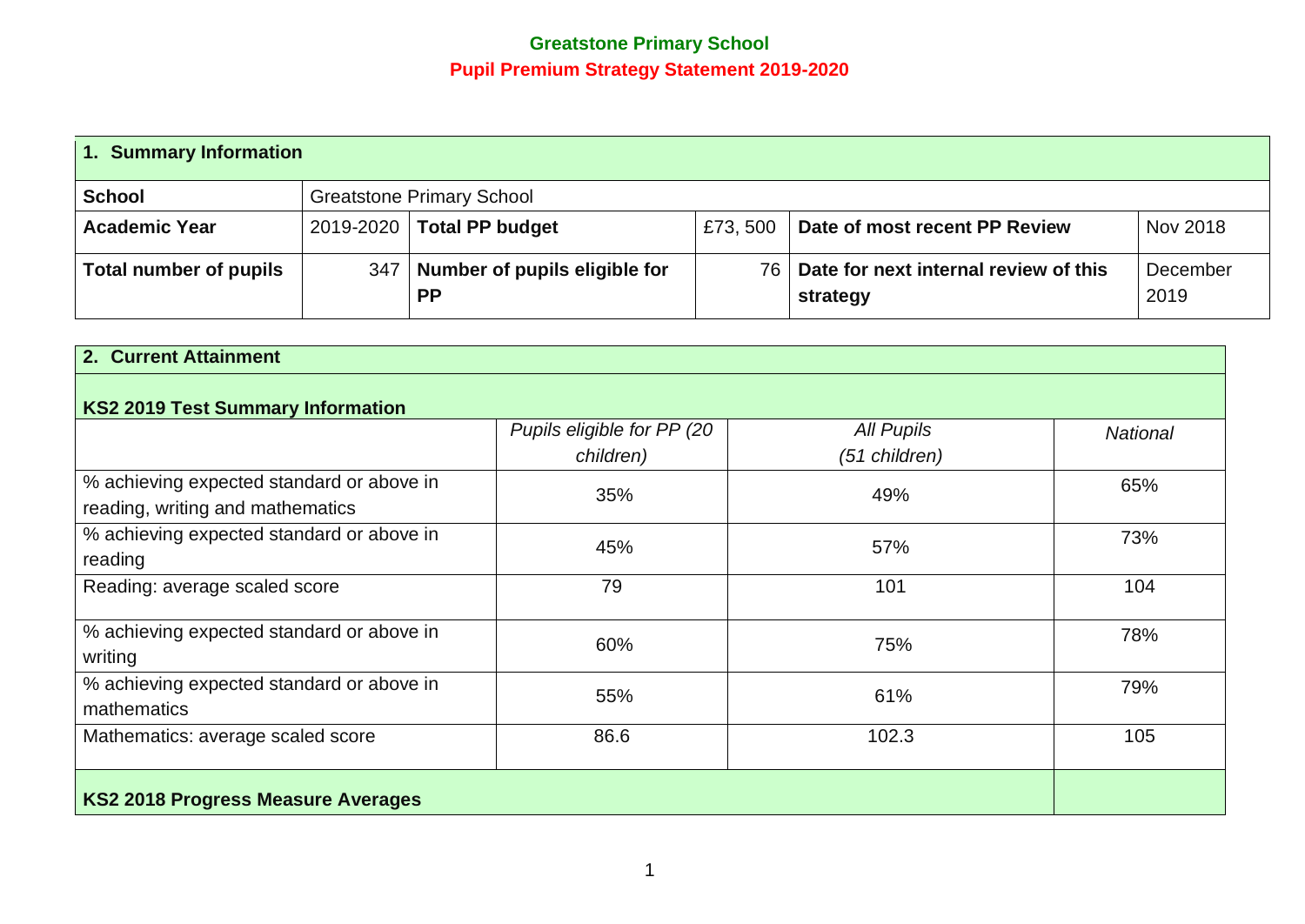## **Greatstone Primary School Pupil Premium Strategy Statement 2019-2020**

| 1. Summary Information |  |                                                  |         |                                                        |                  |  |
|------------------------|--|--------------------------------------------------|---------|--------------------------------------------------------|------------------|--|
| <b>School</b>          |  | <b>Greatstone Primary School</b>                 |         |                                                        |                  |  |
| <b>Academic Year</b>   |  | 2019-2020   Total PP budget                      | £73,500 | Date of most recent PP Review                          | Nov 2018         |  |
| Total number of pupils |  | 347   Number of pupils eligible for<br><b>PP</b> |         | 76   Date for next internal review of this<br>strategy | December<br>2019 |  |

| 2. Current Attainment                                                         |                                         |                                    |                 |
|-------------------------------------------------------------------------------|-----------------------------------------|------------------------------------|-----------------|
| <b>KS2 2019 Test Summary Information</b>                                      |                                         |                                    |                 |
|                                                                               | Pupils eligible for PP (20<br>children) | <b>All Pupils</b><br>(51 children) | <b>National</b> |
| % achieving expected standard or above in<br>reading, writing and mathematics | 35%                                     | 49%                                | 65%             |
| % achieving expected standard or above in<br>reading                          | 45%                                     | 57%                                | 73%             |
| Reading: average scaled score                                                 | 79                                      | 101                                | 104             |
| % achieving expected standard or above in<br>writing                          | 60%                                     | 75%                                | 78%             |
| % achieving expected standard or above in<br>mathematics                      | 55%                                     | 61%                                | 79%             |
| Mathematics: average scaled score                                             | 86.6                                    | 102.3                              | 105             |
| <b>KS2 2018 Progress Measure Averages</b>                                     |                                         |                                    |                 |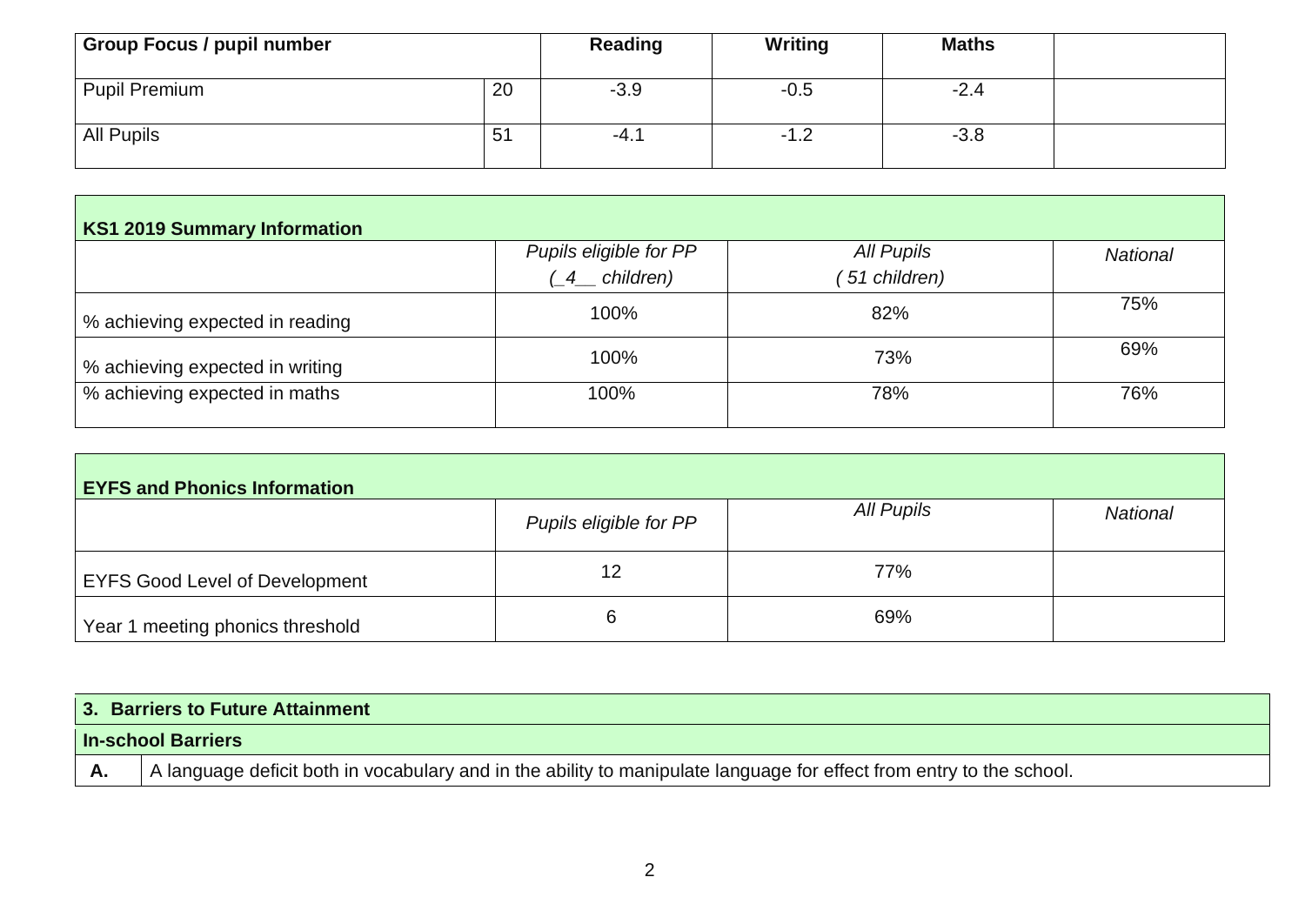| <b>Group Focus / pupil number</b> |    | Reading | <b>Writing</b> | <b>Maths</b> |  |
|-----------------------------------|----|---------|----------------|--------------|--|
| <b>Pupil Premium</b>              | 20 | $-3.9$  | $-0.5$         | $-2.4$       |  |
| All Pupils                        | 51 | -4.1    | -1.2           | $-3.8$       |  |

| <b>KS1 2019 Summary Information</b> |                                          |                            |                 |  |  |  |
|-------------------------------------|------------------------------------------|----------------------------|-----------------|--|--|--|
|                                     | Pupils eligible for PP<br>$(4$ children) | All Pupils<br>51 children) | <b>National</b> |  |  |  |
| % achieving expected in reading     | 100%                                     | 82%                        | 75%             |  |  |  |
| % achieving expected in writing     | 100%                                     | 73%                        | 69%             |  |  |  |
| % achieving expected in maths       | 100%                                     | 78%                        | 76%             |  |  |  |

| <b>EYFS and Phonics Information</b>   |                        |            |                 |  |  |  |
|---------------------------------------|------------------------|------------|-----------------|--|--|--|
|                                       | Pupils eligible for PP | All Pupils | <b>National</b> |  |  |  |
| <b>EYFS Good Level of Development</b> | 12                     | 77%        |                 |  |  |  |
| Year 1 meeting phonics threshold      | 6                      | 69%        |                 |  |  |  |

|           | 3. Barriers to Future Attainment                                                                                     |  |  |  |  |
|-----------|----------------------------------------------------------------------------------------------------------------------|--|--|--|--|
|           | <b>In-school Barriers</b>                                                                                            |  |  |  |  |
| <b>A.</b> | A language deficit both in vocabulary and in the ability to manipulate language for effect from entry to the school. |  |  |  |  |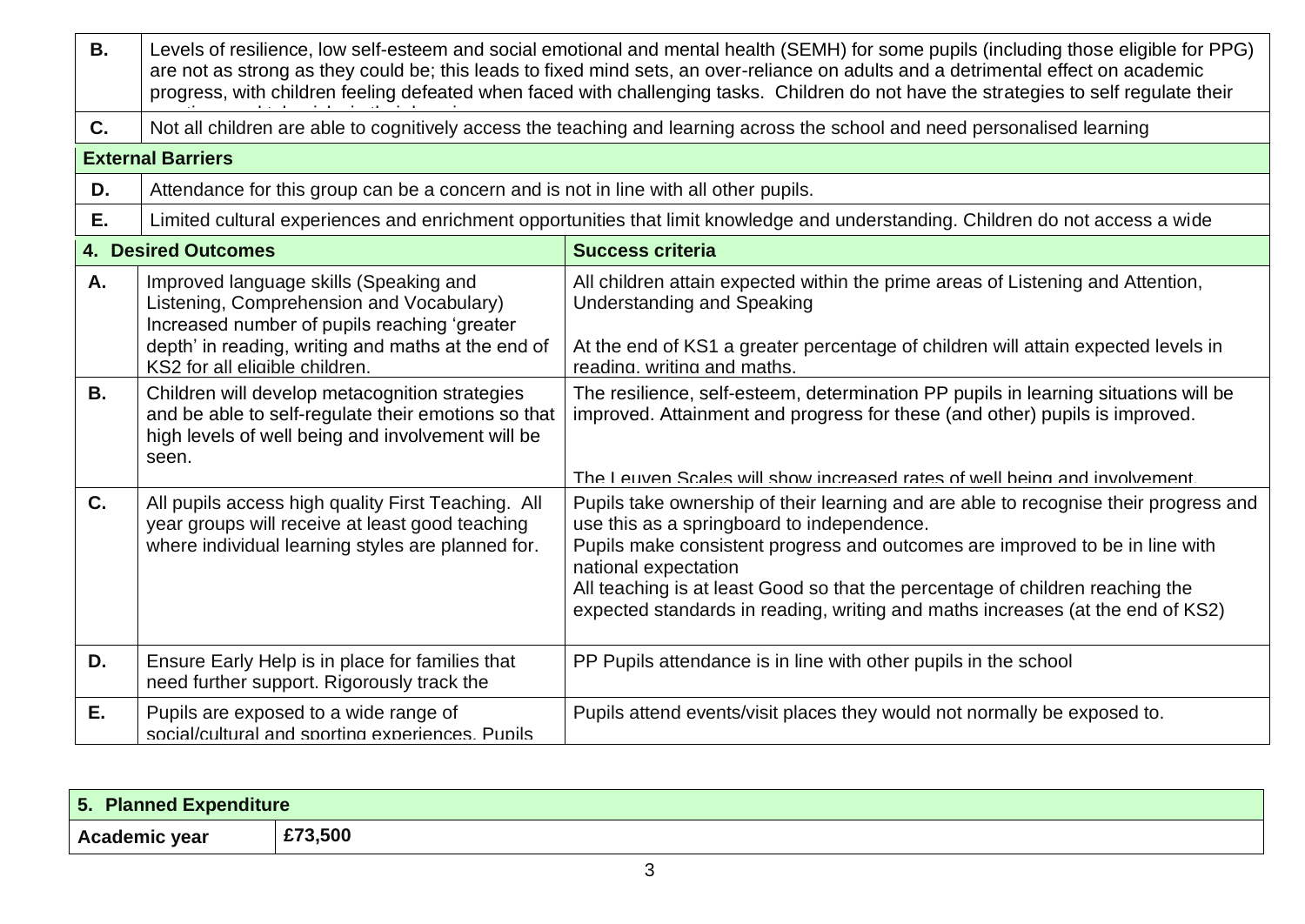| <b>B.</b> | Levels of resilience, low self-esteem and social emotional and mental health (SEMH) for some pupils (including those eligible for PPG)<br>are not as strong as they could be; this leads to fixed mind sets, an over-reliance on adults and a detrimental effect on academic<br>progress, with children feeling defeated when faced with challenging tasks. Children do not have the strategies to self regulate their |                                                                                                                                                                                                           |  |  |  |  |
|-----------|------------------------------------------------------------------------------------------------------------------------------------------------------------------------------------------------------------------------------------------------------------------------------------------------------------------------------------------------------------------------------------------------------------------------|-----------------------------------------------------------------------------------------------------------------------------------------------------------------------------------------------------------|--|--|--|--|
| C.        | Not all children are able to cognitively access the teaching and learning across the school and need personalised learning                                                                                                                                                                                                                                                                                             |                                                                                                                                                                                                           |  |  |  |  |
|           | <b>External Barriers</b>                                                                                                                                                                                                                                                                                                                                                                                               |                                                                                                                                                                                                           |  |  |  |  |
| D.        | Attendance for this group can be a concern and is not in line with all other pupils.                                                                                                                                                                                                                                                                                                                                   |                                                                                                                                                                                                           |  |  |  |  |
| Ε.        |                                                                                                                                                                                                                                                                                                                                                                                                                        | Limited cultural experiences and enrichment opportunities that limit knowledge and understanding. Children do not access a wide                                                                           |  |  |  |  |
|           | <b>4. Desired Outcomes</b>                                                                                                                                                                                                                                                                                                                                                                                             | <b>Success criteria</b>                                                                                                                                                                                   |  |  |  |  |
| A.        | Improved language skills (Speaking and<br>Listening, Comprehension and Vocabulary)<br>Increased number of pupils reaching 'greater<br>depth' in reading, writing and maths at the end of                                                                                                                                                                                                                               | All children attain expected within the prime areas of Listening and Attention,<br><b>Understanding and Speaking</b><br>At the end of KS1 a greater percentage of children will attain expected levels in |  |  |  |  |
|           | KS2 for all eligible children.                                                                                                                                                                                                                                                                                                                                                                                         | reading. writing and maths.                                                                                                                                                                               |  |  |  |  |
| <b>B.</b> | Children will develop metacognition strategies<br>and be able to self-regulate their emotions so that<br>high levels of well being and involvement will be<br>seen.                                                                                                                                                                                                                                                    | The resilience, self-esteem, determination PP pupils in learning situations will be<br>improved. Attainment and progress for these (and other) pupils is improved.                                        |  |  |  |  |
|           |                                                                                                                                                                                                                                                                                                                                                                                                                        | The Leuven Scales will show increased rates of well being and involvement                                                                                                                                 |  |  |  |  |
| C.        | All pupils access high quality First Teaching. All<br>year groups will receive at least good teaching                                                                                                                                                                                                                                                                                                                  | Pupils take ownership of their learning and are able to recognise their progress and<br>use this as a springboard to independence.                                                                        |  |  |  |  |
|           | where individual learning styles are planned for.                                                                                                                                                                                                                                                                                                                                                                      | Pupils make consistent progress and outcomes are improved to be in line with<br>national expectation<br>All teaching is at least Good so that the percentage of children reaching the                     |  |  |  |  |
|           |                                                                                                                                                                                                                                                                                                                                                                                                                        | expected standards in reading, writing and maths increases (at the end of KS2)                                                                                                                            |  |  |  |  |
| D.        | Ensure Early Help is in place for families that<br>need further support. Rigorously track the                                                                                                                                                                                                                                                                                                                          | PP Pupils attendance is in line with other pupils in the school                                                                                                                                           |  |  |  |  |
| Е.        | Pupils are exposed to a wide range of<br>social/cultural and sporting experiences. Pupils                                                                                                                                                                                                                                                                                                                              | Pupils attend events/visit places they would not normally be exposed to.                                                                                                                                  |  |  |  |  |

| Planned Expenditure<br><b>SPACE</b> |         |
|-------------------------------------|---------|
| Academic year                       | £73,500 |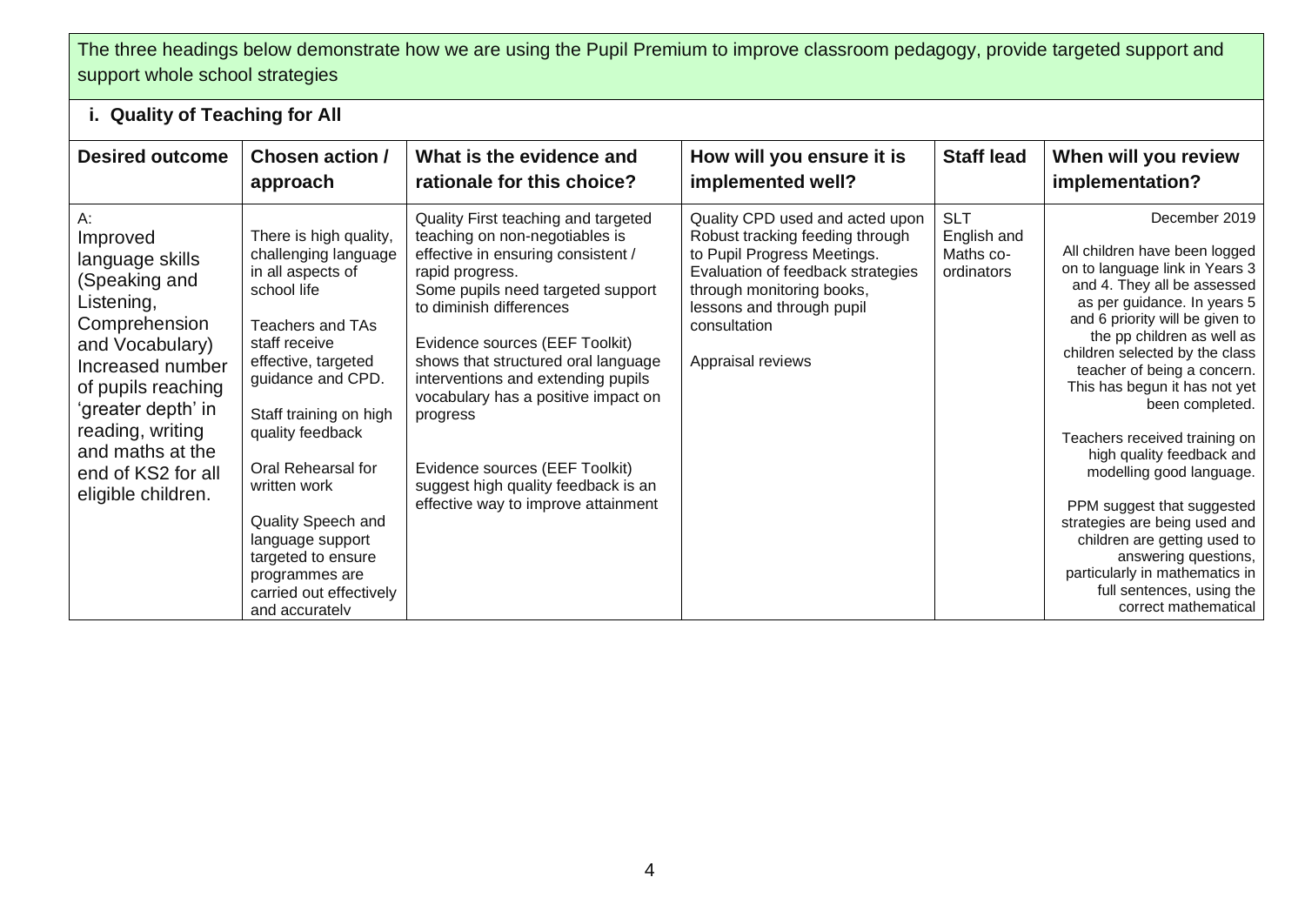## The three headings below demonstrate how we are using the Pupil Premium to improve classroom pedagogy, provide targeted support and support whole school strategies

## **i. Quality of Teaching for All**

| <b>Desired outcome</b>                                                                                                                                                                                                                                   | <b>Chosen action /</b><br>approach                                                                                                                                                                                                                                                                                                                                                     | What is the evidence and<br>rationale for this choice?                                                                                                                                                                                                                                                                                                                                                                                                                           | How will you ensure it is<br>implemented well?                                                                                                                                                                                        | <b>Staff lead</b>                                    | When will you review<br>implementation?                                                                                                                                                                                                                                                                                                                                                                                                                                                                                                                                                                                                      |
|----------------------------------------------------------------------------------------------------------------------------------------------------------------------------------------------------------------------------------------------------------|----------------------------------------------------------------------------------------------------------------------------------------------------------------------------------------------------------------------------------------------------------------------------------------------------------------------------------------------------------------------------------------|----------------------------------------------------------------------------------------------------------------------------------------------------------------------------------------------------------------------------------------------------------------------------------------------------------------------------------------------------------------------------------------------------------------------------------------------------------------------------------|---------------------------------------------------------------------------------------------------------------------------------------------------------------------------------------------------------------------------------------|------------------------------------------------------|----------------------------------------------------------------------------------------------------------------------------------------------------------------------------------------------------------------------------------------------------------------------------------------------------------------------------------------------------------------------------------------------------------------------------------------------------------------------------------------------------------------------------------------------------------------------------------------------------------------------------------------------|
| А:<br>Improved<br>language skills<br>(Speaking and<br>Listening,<br>Comprehension<br>and Vocabulary)<br>Increased number<br>of pupils reaching<br>'greater depth' in<br>reading, writing<br>and maths at the<br>end of KS2 for all<br>eligible children. | There is high quality,<br>challenging language<br>in all aspects of<br>school life<br>Teachers and TAs<br>staff receive<br>effective, targeted<br>guidance and CPD.<br>Staff training on high<br>quality feedback<br>Oral Rehearsal for<br>written work<br>Quality Speech and<br>language support<br>targeted to ensure<br>programmes are<br>carried out effectively<br>and accurately | Quality First teaching and targeted<br>teaching on non-negotiables is<br>effective in ensuring consistent /<br>rapid progress.<br>Some pupils need targeted support<br>to diminish differences<br>Evidence sources (EEF Toolkit)<br>shows that structured oral language<br>interventions and extending pupils<br>vocabulary has a positive impact on<br>progress<br>Evidence sources (EEF Toolkit)<br>suggest high quality feedback is an<br>effective way to improve attainment | Quality CPD used and acted upon<br>Robust tracking feeding through<br>to Pupil Progress Meetings.<br>Evaluation of feedback strategies<br>through monitoring books,<br>lessons and through pupil<br>consultation<br>Appraisal reviews | <b>SLT</b><br>English and<br>Maths co-<br>ordinators | December 2019<br>All children have been logged<br>on to language link in Years 3<br>and 4. They all be assessed<br>as per guidance. In years 5<br>and 6 priority will be given to<br>the pp children as well as<br>children selected by the class<br>teacher of being a concern.<br>This has begun it has not yet<br>been completed.<br>Teachers received training on<br>high quality feedback and<br>modelling good language.<br>PPM suggest that suggested<br>strategies are being used and<br>children are getting used to<br>answering questions,<br>particularly in mathematics in<br>full sentences, using the<br>correct mathematical |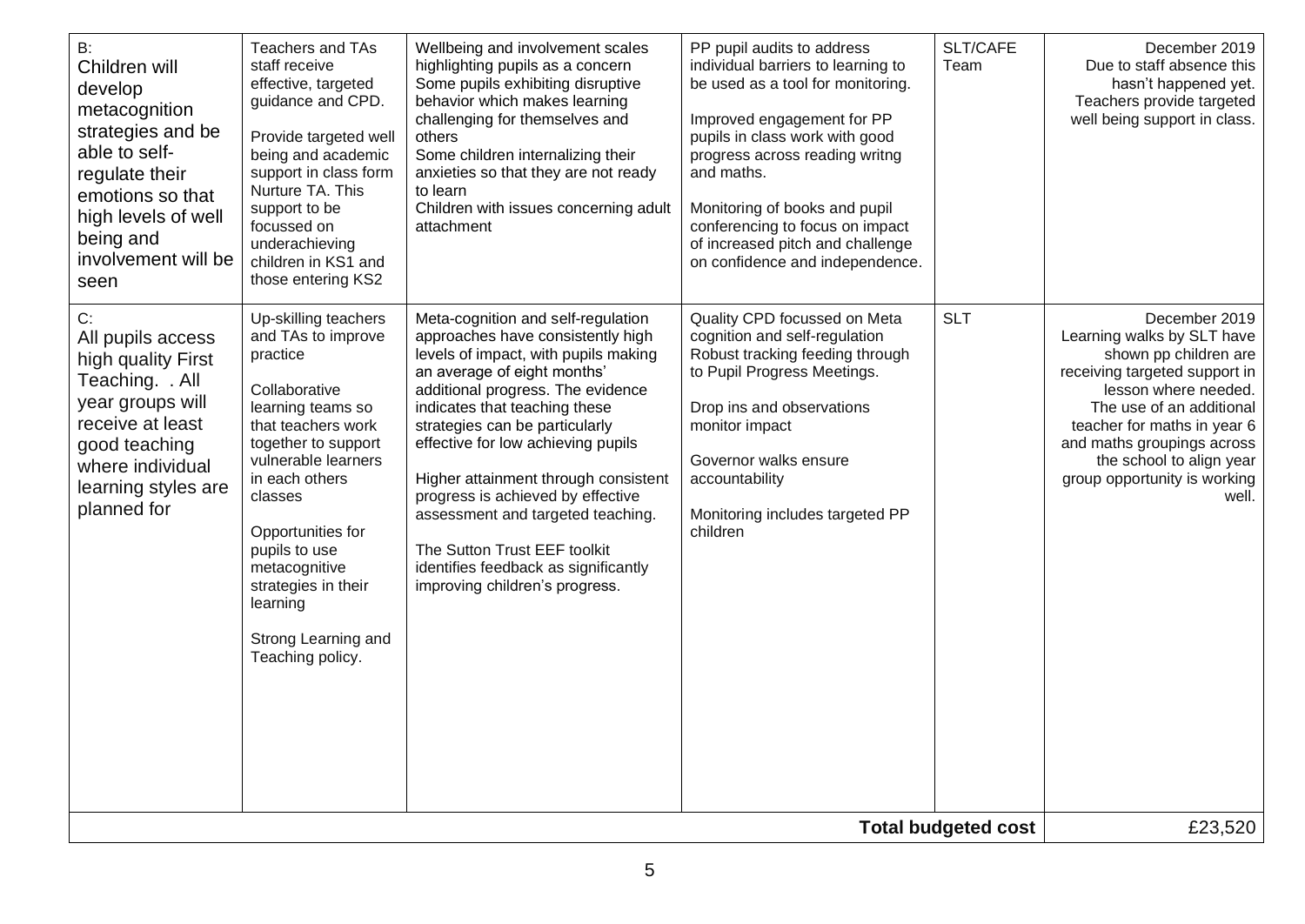| B:<br>Children will<br>develop<br>metacognition<br>strategies and be<br>able to self-<br>regulate their<br>emotions so that<br>high levels of well<br>being and<br>involvement will be<br>seen | Teachers and TAs<br>staff receive<br>effective, targeted<br>guidance and CPD.<br>Provide targeted well<br>being and academic<br>support in class form<br>Nurture TA. This<br>support to be<br>focussed on<br>underachieving<br>children in KS1 and<br>those entering KS2                                                           | Wellbeing and involvement scales<br>highlighting pupils as a concern<br>Some pupils exhibiting disruptive<br>behavior which makes learning<br>challenging for themselves and<br>others<br>Some children internalizing their<br>anxieties so that they are not ready<br>to learn<br>Children with issues concerning adult<br>attachment                                                                                                                                                                                   | PP pupil audits to address<br>individual barriers to learning to<br>be used as a tool for monitoring.<br>Improved engagement for PP<br>pupils in class work with good<br>progress across reading writng<br>and maths.<br>Monitoring of books and pupil<br>conferencing to focus on impact<br>of increased pitch and challenge<br>on confidence and independence. | SLT/CAFE<br>Team | December 2019<br>Due to staff absence this<br>hasn't happened yet.<br>Teachers provide targeted<br>well being support in class.                                                                                                                                                             |
|------------------------------------------------------------------------------------------------------------------------------------------------------------------------------------------------|------------------------------------------------------------------------------------------------------------------------------------------------------------------------------------------------------------------------------------------------------------------------------------------------------------------------------------|--------------------------------------------------------------------------------------------------------------------------------------------------------------------------------------------------------------------------------------------------------------------------------------------------------------------------------------------------------------------------------------------------------------------------------------------------------------------------------------------------------------------------|------------------------------------------------------------------------------------------------------------------------------------------------------------------------------------------------------------------------------------------------------------------------------------------------------------------------------------------------------------------|------------------|---------------------------------------------------------------------------------------------------------------------------------------------------------------------------------------------------------------------------------------------------------------------------------------------|
| C:<br>All pupils access<br>high quality First<br>Teaching. . All<br>year groups will<br>receive at least<br>good teaching<br>where individual<br>learning styles are<br>planned for            | Up-skilling teachers<br>and TAs to improve<br>practice<br>Collaborative<br>learning teams so<br>that teachers work<br>together to support<br>vulnerable learners<br>in each others<br>classes<br>Opportunities for<br>pupils to use<br>metacognitive<br>strategies in their<br>learning<br>Strong Learning and<br>Teaching policy. | Meta-cognition and self-regulation<br>approaches have consistently high<br>levels of impact, with pupils making<br>an average of eight months'<br>additional progress. The evidence<br>indicates that teaching these<br>strategies can be particularly<br>effective for low achieving pupils<br>Higher attainment through consistent<br>progress is achieved by effective<br>assessment and targeted teaching.<br>The Sutton Trust EEF toolkit<br>identifies feedback as significantly<br>improving children's progress. | Quality CPD focussed on Meta<br>cognition and self-regulation<br>Robust tracking feeding through<br>to Pupil Progress Meetings.<br>Drop ins and observations<br>monitor impact<br>Governor walks ensure<br>accountability<br>Monitoring includes targeted PP<br>children                                                                                         | <b>SLT</b>       | December 2019<br>Learning walks by SLT have<br>shown pp children are<br>receiving targeted support in<br>lesson where needed.<br>The use of an additional<br>teacher for maths in year 6<br>and maths groupings across<br>the school to align year<br>group opportunity is working<br>well. |
| <b>Total budgeted cost</b>                                                                                                                                                                     |                                                                                                                                                                                                                                                                                                                                    |                                                                                                                                                                                                                                                                                                                                                                                                                                                                                                                          |                                                                                                                                                                                                                                                                                                                                                                  |                  | £23,520                                                                                                                                                                                                                                                                                     |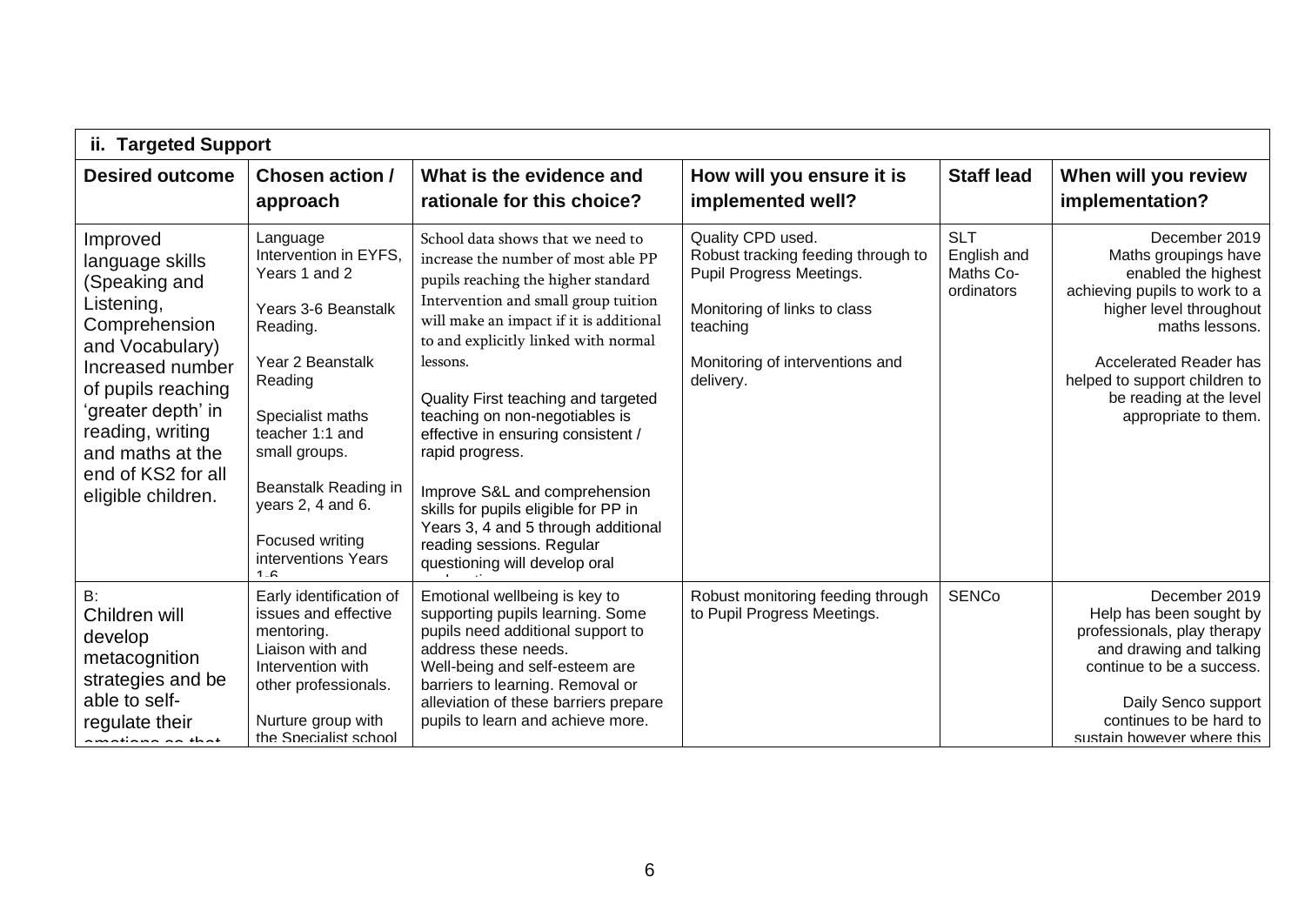| <b>Targeted Support</b><br>ii.                                                                                                                                                                                                                     |                                                                                                                                                                                                                                                                                       |                                                                                                                                                                                                                                                                                                                                                                                                                                                                                                                                                                        |                                                                                                                                                                                 |                                                      |                                                                                                                                                                                                                                                                 |  |
|----------------------------------------------------------------------------------------------------------------------------------------------------------------------------------------------------------------------------------------------------|---------------------------------------------------------------------------------------------------------------------------------------------------------------------------------------------------------------------------------------------------------------------------------------|------------------------------------------------------------------------------------------------------------------------------------------------------------------------------------------------------------------------------------------------------------------------------------------------------------------------------------------------------------------------------------------------------------------------------------------------------------------------------------------------------------------------------------------------------------------------|---------------------------------------------------------------------------------------------------------------------------------------------------------------------------------|------------------------------------------------------|-----------------------------------------------------------------------------------------------------------------------------------------------------------------------------------------------------------------------------------------------------------------|--|
| <b>Desired outcome</b>                                                                                                                                                                                                                             | <b>Chosen action /</b><br>approach                                                                                                                                                                                                                                                    | What is the evidence and<br>rationale for this choice?                                                                                                                                                                                                                                                                                                                                                                                                                                                                                                                 | How will you ensure it is<br>implemented well?                                                                                                                                  | <b>Staff lead</b>                                    | When will you review<br>implementation?                                                                                                                                                                                                                         |  |
| Improved<br>language skills<br>(Speaking and<br>Listening,<br>Comprehension<br>and Vocabulary)<br>Increased number<br>of pupils reaching<br>'greater depth' in<br>reading, writing<br>and maths at the<br>end of KS2 for all<br>eligible children. | Language<br>Intervention in EYFS.<br>Years 1 and 2<br>Years 3-6 Beanstalk<br>Reading.<br>Year 2 Beanstalk<br>Reading<br>Specialist maths<br>teacher 1:1 and<br>small groups.<br>Beanstalk Reading in<br>years 2, 4 and 6.<br>Focused writing<br>interventions Years<br>4 <sub>C</sub> | School data shows that we need to<br>increase the number of most able PP<br>pupils reaching the higher standard<br>Intervention and small group tuition<br>will make an impact if it is additional<br>to and explicitly linked with normal<br>lessons.<br>Quality First teaching and targeted<br>teaching on non-negotiables is<br>effective in ensuring consistent /<br>rapid progress.<br>Improve S&L and comprehension<br>skills for pupils eligible for PP in<br>Years 3, 4 and 5 through additional<br>reading sessions. Regular<br>questioning will develop oral | Quality CPD used.<br>Robust tracking feeding through to<br>Pupil Progress Meetings.<br>Monitoring of links to class<br>teaching<br>Monitoring of interventions and<br>delivery. | <b>SLT</b><br>English and<br>Maths Co-<br>ordinators | December 2019<br>Maths groupings have<br>enabled the highest<br>achieving pupils to work to a<br>higher level throughout<br>maths lessons.<br><b>Accelerated Reader has</b><br>helped to support children to<br>be reading at the level<br>appropriate to them. |  |
| B:<br>Children will<br>develop<br>metacognition<br>strategies and be<br>able to self-<br>regulate their<br>للمنطلب متمالية ممتم                                                                                                                    | Early identification of<br>issues and effective<br>mentoring.<br>Liaison with and<br>Intervention with<br>other professionals.<br>Nurture group with<br>the Specialist school                                                                                                         | Emotional wellbeing is key to<br>supporting pupils learning. Some<br>pupils need additional support to<br>address these needs.<br>Well-being and self-esteem are<br>barriers to learning. Removal or<br>alleviation of these barriers prepare<br>pupils to learn and achieve more.                                                                                                                                                                                                                                                                                     | Robust monitoring feeding through<br>to Pupil Progress Meetings.                                                                                                                | <b>SENCo</b>                                         | December 2019<br>Help has been sought by<br>professionals, play therapy<br>and drawing and talking<br>continue to be a success.<br>Daily Senco support<br>continues to be hard to<br>sustain however where this                                                 |  |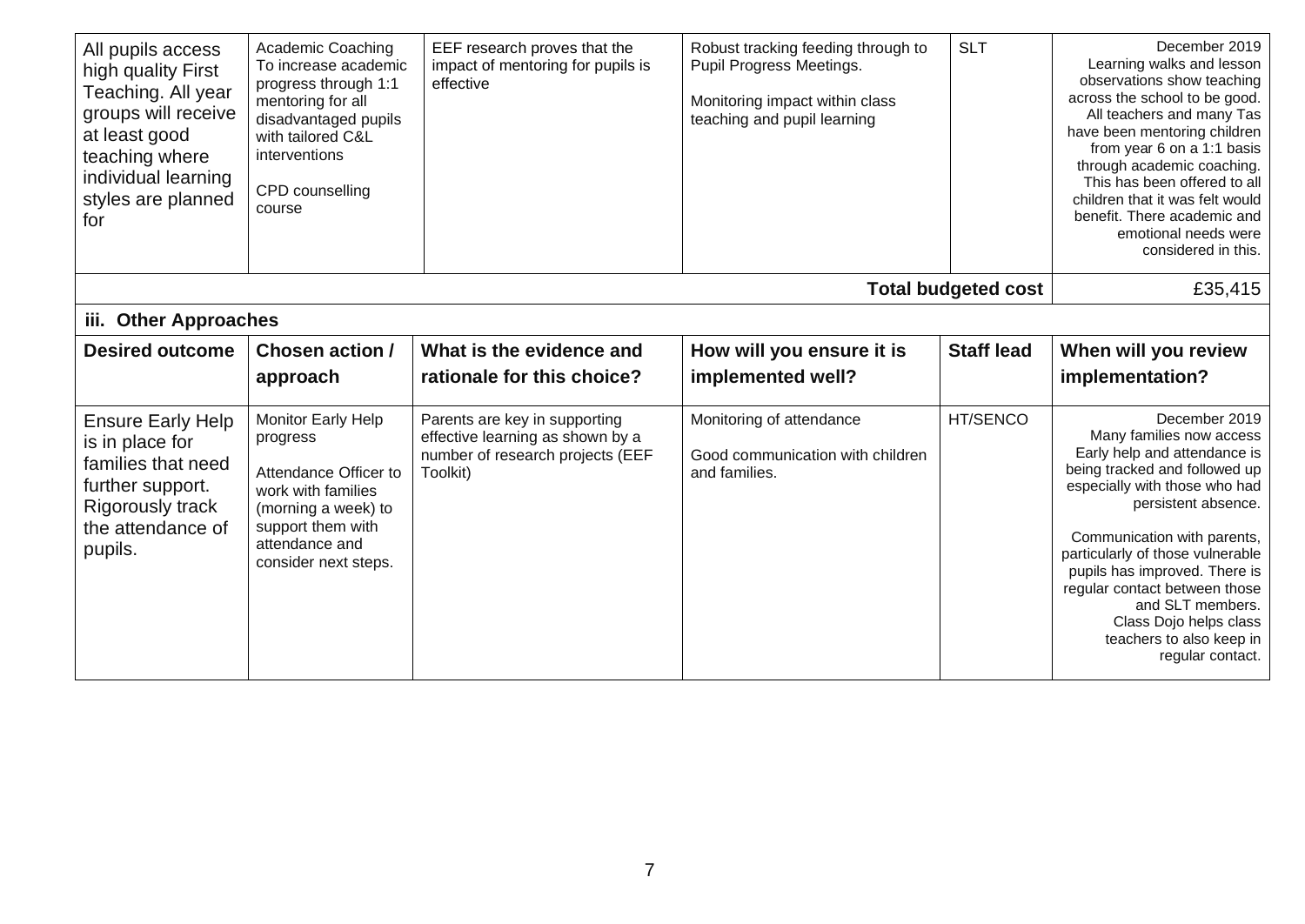| All pupils access<br>high quality First<br>Teaching. All year<br>groups will receive<br>at least good<br>teaching where<br>individual learning<br>styles are planned<br>for | Academic Coaching<br>To increase academic<br>progress through 1:1<br>mentoring for all<br>disadvantaged pupils<br>with tailored C&L<br>interventions<br>CPD counselling<br>course | EEF research proves that the<br>impact of mentoring for pupils is<br>effective                                    | Robust tracking feeding through to<br>Pupil Progress Meetings.<br>Monitoring impact within class<br>teaching and pupil learning | <b>SLT</b>                 | December 2019<br>Learning walks and lesson<br>observations show teaching<br>across the school to be good.<br>All teachers and many Tas<br>have been mentoring children<br>from year 6 on a 1:1 basis<br>through academic coaching.<br>This has been offered to all<br>children that it was felt would<br>benefit. There academic and<br>emotional needs were<br>considered in this.                   |
|-----------------------------------------------------------------------------------------------------------------------------------------------------------------------------|-----------------------------------------------------------------------------------------------------------------------------------------------------------------------------------|-------------------------------------------------------------------------------------------------------------------|---------------------------------------------------------------------------------------------------------------------------------|----------------------------|-------------------------------------------------------------------------------------------------------------------------------------------------------------------------------------------------------------------------------------------------------------------------------------------------------------------------------------------------------------------------------------------------------|
|                                                                                                                                                                             |                                                                                                                                                                                   |                                                                                                                   |                                                                                                                                 | <b>Total budgeted cost</b> | £35,415                                                                                                                                                                                                                                                                                                                                                                                               |
| <b>Other Approaches</b><br>iii.                                                                                                                                             |                                                                                                                                                                                   |                                                                                                                   |                                                                                                                                 |                            |                                                                                                                                                                                                                                                                                                                                                                                                       |
| <b>Desired outcome</b>                                                                                                                                                      | Chosen action /                                                                                                                                                                   | What is the evidence and                                                                                          | How will you ensure it is                                                                                                       | <b>Staff lead</b>          | When will you review                                                                                                                                                                                                                                                                                                                                                                                  |
|                                                                                                                                                                             | approach                                                                                                                                                                          | rationale for this choice?                                                                                        | implemented well?                                                                                                               |                            | implementation?                                                                                                                                                                                                                                                                                                                                                                                       |
| <b>Ensure Early Help</b><br>is in place for<br>families that need<br>further support.<br><b>Rigorously track</b><br>the attendance of<br>pupils.                            | Monitor Early Help<br>progress<br>Attendance Officer to<br>work with families<br>(morning a week) to<br>support them with<br>attendance and<br>consider next steps.               | Parents are key in supporting<br>effective learning as shown by a<br>number of research projects (EEF<br>Toolkit) | Monitoring of attendance<br>Good communication with children<br>and families.                                                   | HT/SENCO                   | December 2019<br>Many families now access<br>Early help and attendance is<br>being tracked and followed up<br>especially with those who had<br>persistent absence.<br>Communication with parents,<br>particularly of those vulnerable<br>pupils has improved. There is<br>regular contact between those<br>and SLT members.<br>Class Dojo helps class<br>teachers to also keep in<br>regular contact. |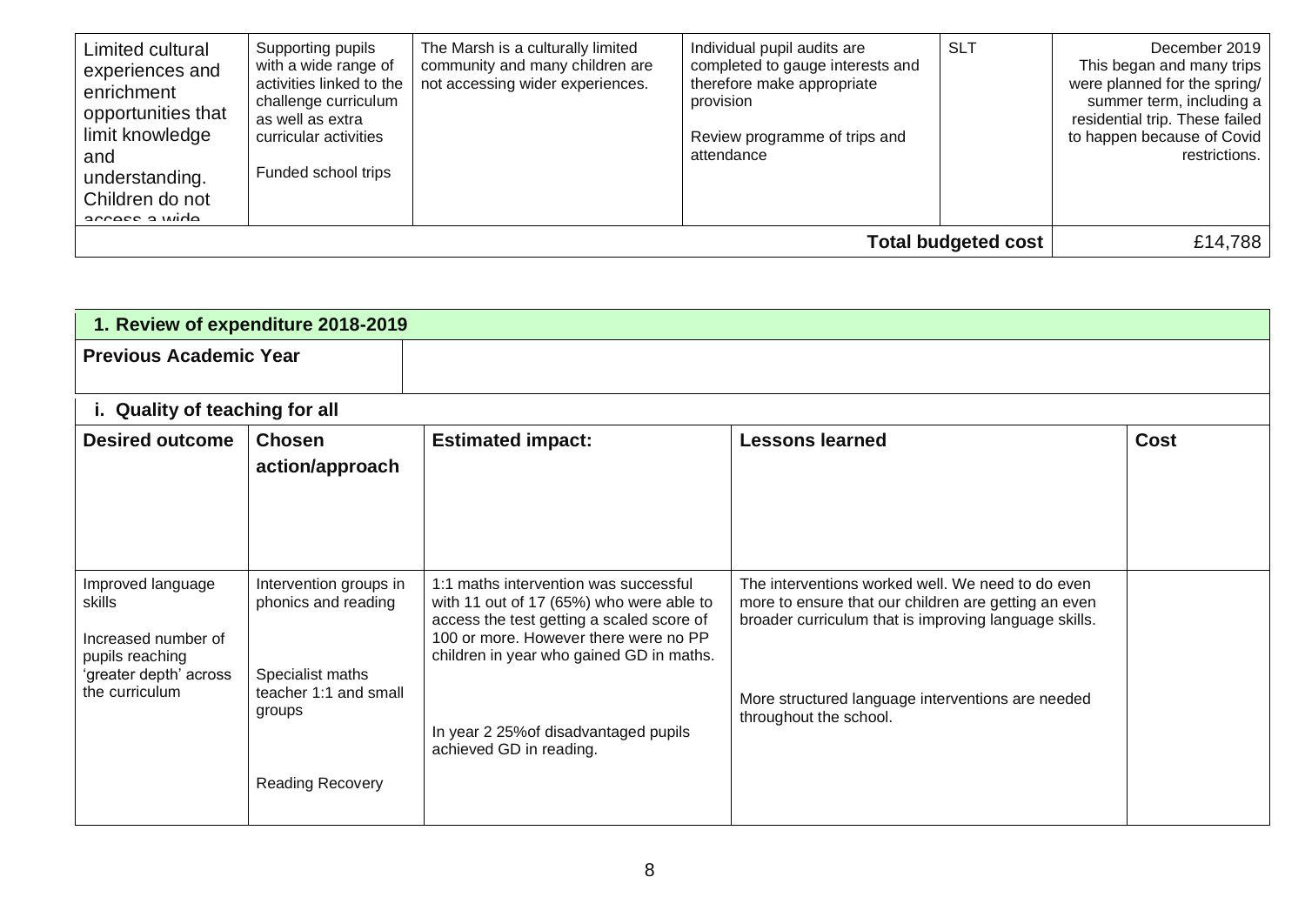| Supporting pupils<br>Limited cultural<br>experiences and<br>enrichment<br>opportunities that<br>as well as extra<br>limit knowledge<br>and<br>understanding.<br>Children do not<br>annace a wida | with a wide range of<br>activities linked to the<br>challenge curriculum<br>curricular activities<br>Funded school trips | The Marsh is a culturally limited<br>community and many children are<br>not accessing wider experiences. | Individual pupil audits are<br>completed to gauge interests and<br>therefore make appropriate<br>provision<br>Review programme of trips and<br>attendance | <b>SLT</b> | December 2019<br>This began and many trips<br>were planned for the spring/<br>summer term, including a<br>residential trip. These failed<br>to happen because of Covid<br>restrictions. |
|--------------------------------------------------------------------------------------------------------------------------------------------------------------------------------------------------|--------------------------------------------------------------------------------------------------------------------------|----------------------------------------------------------------------------------------------------------|-----------------------------------------------------------------------------------------------------------------------------------------------------------|------------|-----------------------------------------------------------------------------------------------------------------------------------------------------------------------------------------|
| <b>Total budgeted cost</b>                                                                                                                                                                       |                                                                                                                          |                                                                                                          |                                                                                                                                                           |            | £14,788                                                                                                                                                                                 |

| 1. Review of expenditure 2018-2019                                                                                |                                                                                                                                 |                                                                                                                                                                                                                                                                                         |                                                                                                                                                                                                                                                   |      |  |  |  |
|-------------------------------------------------------------------------------------------------------------------|---------------------------------------------------------------------------------------------------------------------------------|-----------------------------------------------------------------------------------------------------------------------------------------------------------------------------------------------------------------------------------------------------------------------------------------|---------------------------------------------------------------------------------------------------------------------------------------------------------------------------------------------------------------------------------------------------|------|--|--|--|
| <b>Previous Academic Year</b>                                                                                     |                                                                                                                                 |                                                                                                                                                                                                                                                                                         |                                                                                                                                                                                                                                                   |      |  |  |  |
| i. Quality of teaching for all                                                                                    |                                                                                                                                 |                                                                                                                                                                                                                                                                                         |                                                                                                                                                                                                                                                   |      |  |  |  |
| <b>Desired outcome</b>                                                                                            | <b>Chosen</b><br>action/approach                                                                                                | <b>Estimated impact:</b>                                                                                                                                                                                                                                                                | <b>Lessons learned</b>                                                                                                                                                                                                                            | Cost |  |  |  |
| Improved language<br>skills<br>Increased number of<br>pupils reaching<br>'greater depth' across<br>the curriculum | Intervention groups in<br>phonics and reading<br>Specialist maths<br>teacher 1:1 and small<br>groups<br><b>Reading Recovery</b> | 1:1 maths intervention was successful<br>with 11 out of 17 (65%) who were able to<br>access the test getting a scaled score of<br>100 or more. However there were no PP<br>children in year who gained GD in maths.<br>In year 2 25% of disadvantaged pupils<br>achieved GD in reading. | The interventions worked well. We need to do even<br>more to ensure that our children are getting an even<br>broader curriculum that is improving language skills.<br>More structured language interventions are needed<br>throughout the school. |      |  |  |  |